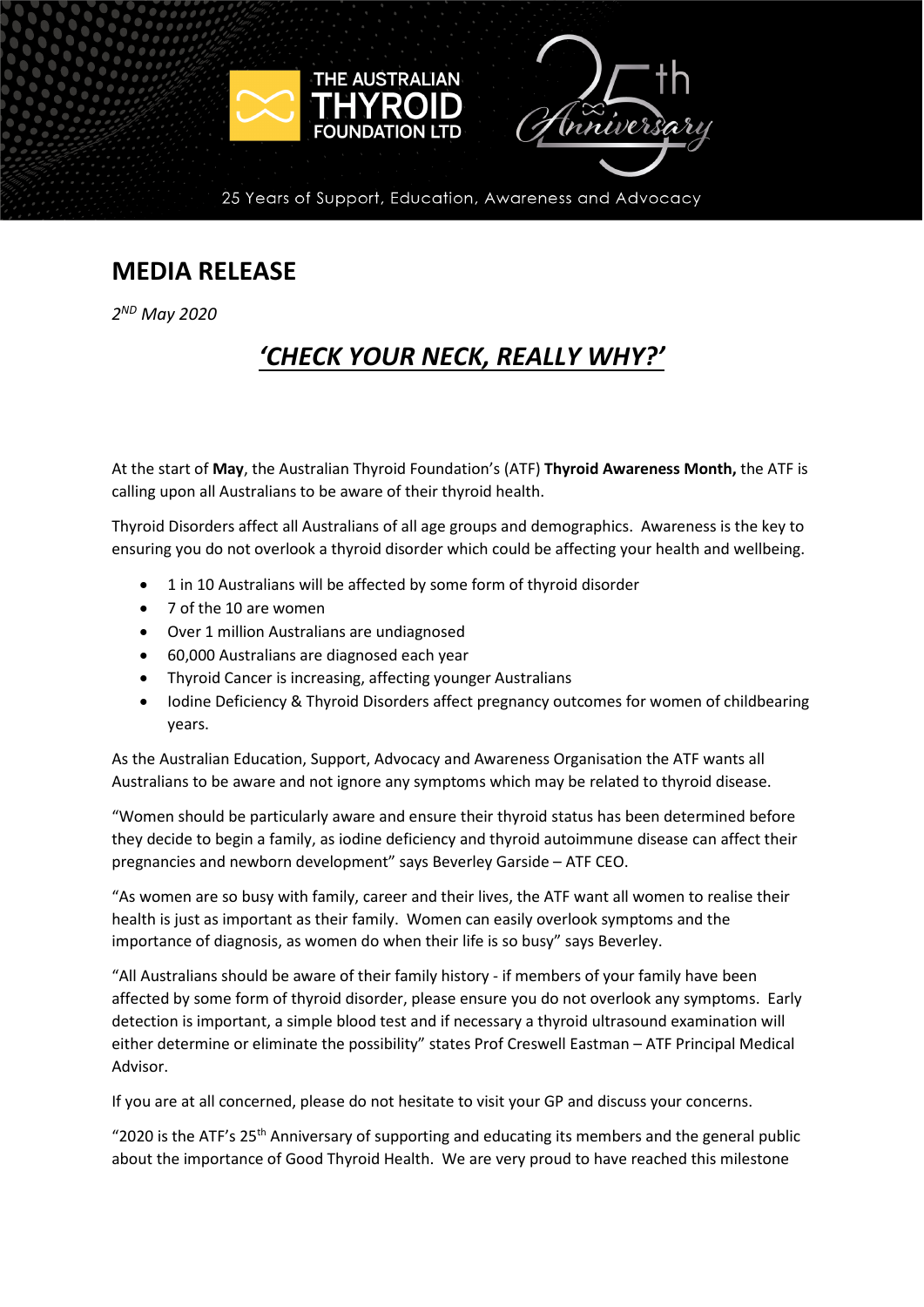

25 Years of Support, Education, Awareness and Advocacy

## **MEDIA RELEASE**

*2ND May 2020*

# *'CHECK YOUR NECK, REALLY WHY?'*

At the start of **May**, the Australian Thyroid Foundation's (ATF) **Thyroid Awareness Month,** the ATF is calling upon all Australians to be aware of their thyroid health.

Thyroid Disorders affect all Australians of all age groups and demographics. Awareness is the key to ensuring you do not overlook a thyroid disorder which could be affecting your health and wellbeing.

- 1 in 10 Australians will be affected by some form of thyroid disorder
- 7 of the 10 are women
- Over 1 million Australians are undiagnosed
- 60,000 Australians are diagnosed each year
- Thyroid Cancer is increasing, affecting younger Australians
- Iodine Deficiency & Thyroid Disorders affect pregnancy outcomes for women of childbearing years.

As the Australian Education, Support, Advocacy and Awareness Organisation the ATF wants all Australians to be aware and not ignore any symptoms which may be related to thyroid disease.

"Women should be particularly aware and ensure their thyroid status has been determined before they decide to begin a family, as iodine deficiency and thyroid autoimmune disease can affect their pregnancies and newborn development" says Beverley Garside – ATF CEO.

"As women are so busy with family, career and their lives, the ATF want all women to realise their health is just as important as their family. Women can easily overlook symptoms and the importance of diagnosis, as women do when their life is so busy" says Beverley.

"All Australians should be aware of their family history - if members of your family have been affected by some form of thyroid disorder, please ensure you do not overlook any symptoms. Early detection is important, a simple blood test and if necessary a thyroid ultrasound examination will either determine or eliminate the possibility" states Prof Creswell Eastman – ATF Principal Medical Advisor.

If you are at all concerned, please do not hesitate to visit your GP and discuss your concerns.

"2020 is the ATF's 25<sup>th</sup> Anniversary of supporting and educating its members and the general public about the importance of Good Thyroid Health. We are very proud to have reached this milestone